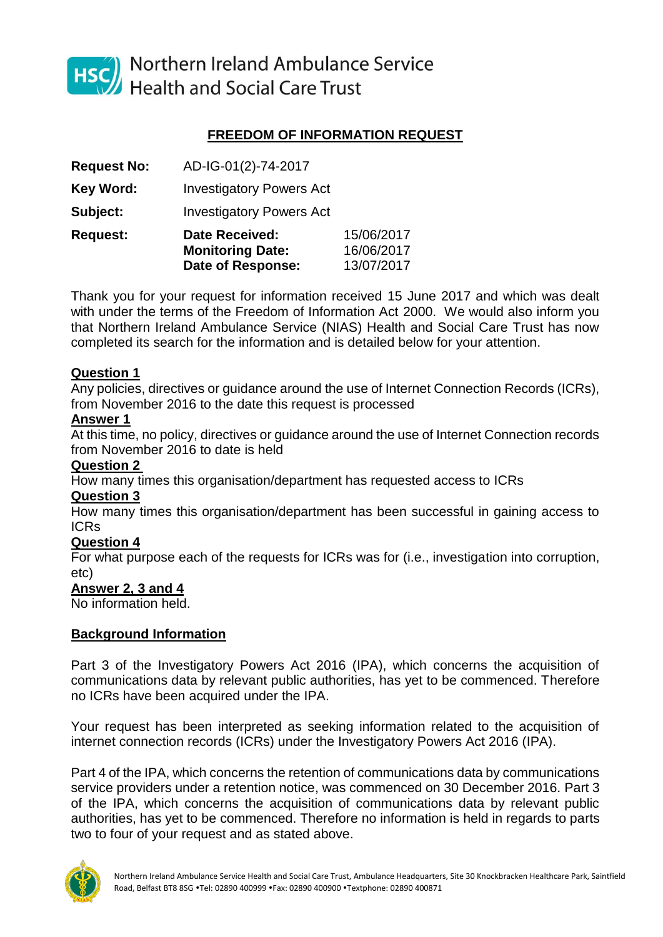

HSC Northern Ireland Ambulance Service<br>Health and Social Care Trust

# **FREEDOM OF INFORMATION REQUEST**

| <b>Request No:</b> | AD-IG-01(2)-74-2017                                                          |                                        |
|--------------------|------------------------------------------------------------------------------|----------------------------------------|
| <b>Key Word:</b>   | <b>Investigatory Powers Act</b>                                              |                                        |
| Subject:           | <b>Investigatory Powers Act</b>                                              |                                        |
| <b>Request:</b>    | <b>Date Received:</b><br><b>Monitoring Date:</b><br><b>Date of Response:</b> | 15/06/2017<br>16/06/2017<br>13/07/2017 |

Thank you for your request for information received 15 June 2017 and which was dealt with under the terms of the Freedom of Information Act 2000. We would also inform you that Northern Ireland Ambulance Service (NIAS) Health and Social Care Trust has now completed its search for the information and is detailed below for your attention.

### **Question 1**

Any policies, directives or guidance around the use of Internet Connection Records (ICRs), from November 2016 to the date this request is processed

#### **Answer 1**

At this time, no policy, directives or guidance around the use of Internet Connection records from November 2016 to date is held

### **Question 2**

How many times this organisation/department has requested access to ICRs

#### **Question 3**

How many times this organisation/department has been successful in gaining access to ICRs

## **Question 4**

For what purpose each of the requests for ICRs was for (i.e., investigation into corruption, etc)

#### **Answer 2, 3 and 4**

No information held.

## **Background Information**

Part 3 of the Investigatory Powers Act 2016 (IPA), which concerns the acquisition of communications data by relevant public authorities, has yet to be commenced. Therefore no ICRs have been acquired under the IPA.

Your request has been interpreted as seeking information related to the acquisition of internet connection records (ICRs) under the Investigatory Powers Act 2016 (IPA).

Part 4 of the IPA, which concerns the retention of communications data by communications service providers under a retention notice, was commenced on 30 December 2016. Part 3 of the IPA, which concerns the acquisition of communications data by relevant public authorities, has yet to be commenced. Therefore no information is held in regards to parts two to four of your request and as stated above.